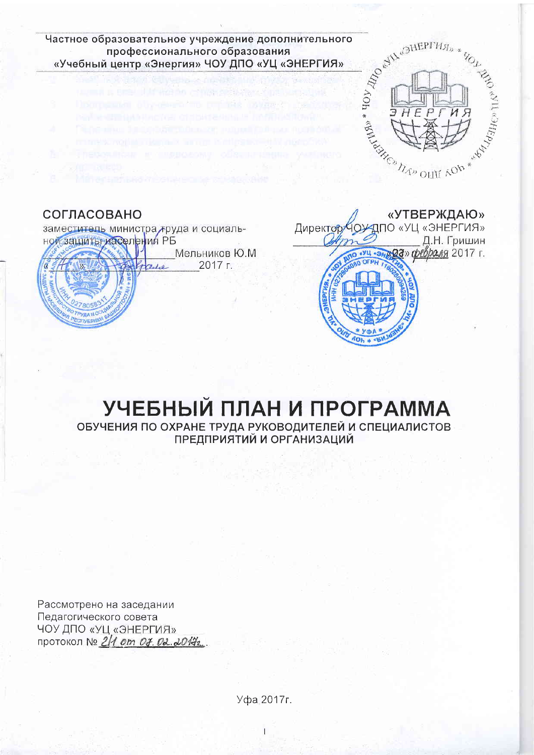

## УЧЕБНЫЙ ПЛАН И ПРОГРАММА ОБУЧЕНИЯ ПО ОХРАНЕ ТРУДА РУКОВОДИТЕЛЕЙ И СПЕЦИАЛИСТОВ

ПРЕДПРИЯТИЙ И ОРГАНИЗАЦИЙ

Рассмотрено на заседании Педагогического совета ЧОУ ДПО «УЦ «ЭНЕРГИЯ» протокол № 2/1 от 07.02.20172.

Уфа 2017г.

 $\overline{1}$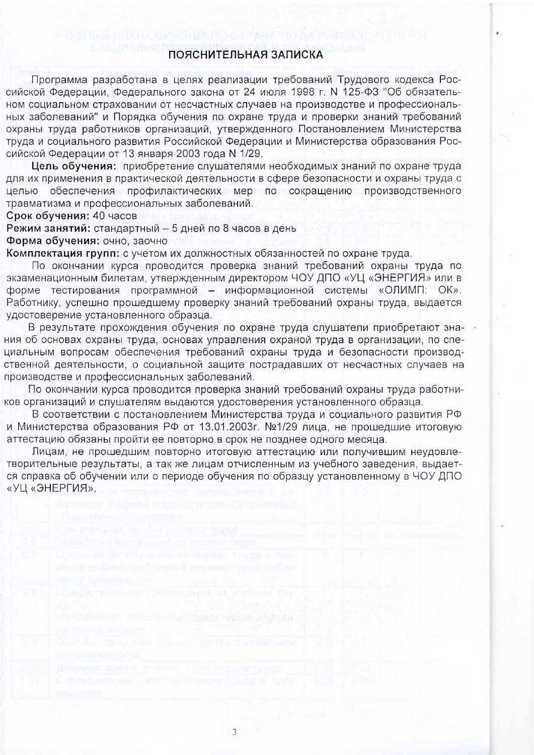## ПОЯСНИТЕЛЬНАЯ ЗАПИСКА

Программа разработана в целях реализации требований Трудового кодекса Российской Федерации, Федерального закона от 24 июля 1998 г. N 125-ФЗ "Об обязательном социальном страховании от несчастных случаев на производстве и профессиональных заболеваний" и Порядка обучения по охране труда и проверки знаний требований охраны труда работников организаций, утвержденного Постановлением Министерства труда и социального развития Российской Федерации и Министерства образования Российской Федерации от 13 января 2003 года N 1/29.

Цель обучения: приобретение слушателями необходимых знаний по охране труда для их применения в практической деятельности в сфере безопасности и охраны труда с целью обеспечения профилактических мер по сокращению производственного травматизма и профессиональных заболеваний.

Срок обучения: 40 часов

Режим занятий: стандартный - 5 дней по 8 часов в день

Форма обучения: очно, заочно

Комплектация групп: с учетом их должностных обязанностей по охране труда.

По окончании курса проводится проверка знаний требований охраны труда по экзаменационным билетам, утвержденным директором ЧОУ ДПО «УЦ «ЭНЕРГИЯ» или в форме тестирования программной - информационной системы «ОЛИМП: ОК». Работнику, успешно прошедшему проверку знаний требований охраны труда, выдается удостоверение установленного образца.

В результате прохождения обучения по охране труда слушатели приобретают знания об основах охраны труда, основах управления охраной труда в организации, по специальным вопросам обеспечения требований охраны труда и безопасности производственной деятельности, о социальной защите пострадавших от несчастных случаев на производстве и профессиональных заболеваний.

По окончании курса проводится проверка знаний требований охраны труда работников организаций и слушателям выдаются удостоверения установленного образца.

В соответствии с постановлением Министерства труда и социального развития РФ и Министерства образования РФ от 13.01.2003г. №1/29 лица, не прошедшие итоговую аттестацию обязаны пройти ее повторно в срок не позднее одного месяца.

Лицам, не прошедшим повторно итоговую аттестацию или получившим неудовлетворительные результаты, а так же лицам отчисленным из учебного заведения, выдается справка об обучении или о периоде обучения по образцу установленному в ЧОУ ДПО «УЦ «ЭНЕРГИЯ».

 $\overline{3}$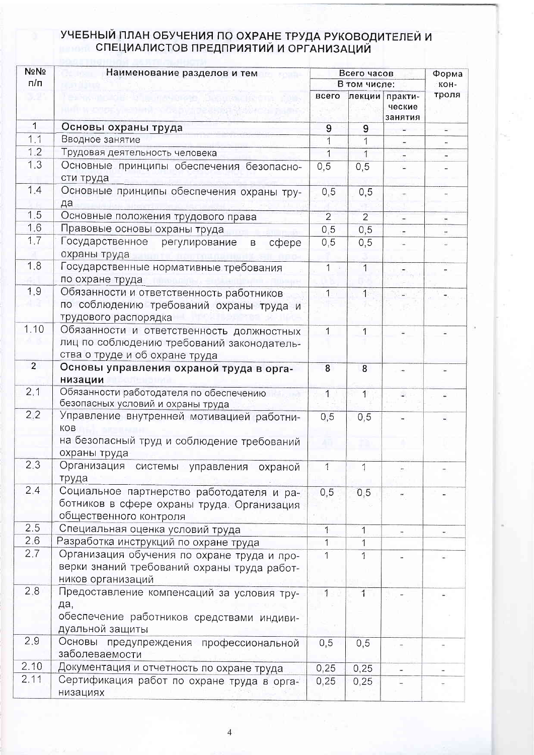## УЧЕБНЫЙ ПЛАН ОБУЧЕНИЯ ПО ОХРАНЕ ТРУДА РУКОВОДИТЕЛЕЙ И<br>СПЕЦИАЛИСТОВ ПРЕДПРИЯТИЙ И ОРГАНИЗАЦИЙ

| No <sub>No</sub> | Наименование разделов и тем                                                                                               | Всего часов    |                |                              | Форма<br>KOH- |
|------------------|---------------------------------------------------------------------------------------------------------------------------|----------------|----------------|------------------------------|---------------|
| n/n              |                                                                                                                           | В том числе:   |                |                              |               |
|                  |                                                                                                                           | всего          | лекции         | практи-<br>ческие<br>занятия | троля         |
| $\mathbf 1$      | Основы охраны труда                                                                                                       | 9              | 9              |                              |               |
| 1.1              | Вводное занятие                                                                                                           |                | 1              |                              |               |
| 1.2              | Трудовая деятельность человека                                                                                            | 1              | $\overline{1}$ |                              |               |
| 1.3              | Основные принципы обеспечения безопасно-<br>сти труда                                                                     | 0,5            | 0, 5           |                              |               |
| 1.4              | Основные принципы обеспечения охраны тру-<br>да                                                                           | 0,5            | 0, 5           |                              |               |
| 1.5              | Основные положения трудового права                                                                                        | $\overline{2}$ | $\overline{2}$ | ×,                           |               |
| 1.6              | Правовые основы охраны труда                                                                                              | 0,5            | 0, 5           |                              |               |
| 1.7              | Государственное<br>регулирование<br>cobepe<br>$\mathsf B$<br>охраны труда                                                 | 0, 5           | 0, 5           |                              |               |
| 1,8              | Государственные нормативные требования<br>по охране труда                                                                 | 1              | $\overline{1}$ |                              |               |
| 1.9              | Обязанности и ответственность работников<br>по соблюдению требований охраны труда и<br>трудового распорядка               | $\mathbf{1}$   | $\mathbf{1}$   |                              |               |
| 1.10             | Обязанности и ответственность должностных<br>лиц по соблюдению требований законодатель-<br>ства о труде и об охране труда | 1              | 1              |                              |               |
| $\overline{2}$   | Основы управления охраной труда в орга-<br>низации                                                                        | 8              | 8              |                              |               |
| 2.1              | Обязанности работодателя по обеспечению<br>безопасных условий и охраны труда                                              | 1              | $\overline{1}$ |                              |               |
| 2.2              | Управление внутренней мотивацией работни-<br>KOB                                                                          | 0, 5           | 0,5            |                              |               |
|                  | на безопасный труд и соблюдение требований<br>охраны труда                                                                |                |                |                              |               |
| 2.3              | Организация системы управления охраной<br>труда                                                                           | 1              | 1              |                              |               |
| 2.4              | Социальное партнерство работодателя и ра-<br>ботников в сфере охраны труда. Организация<br>общественного контроля         | 0, 5           | 0,5            |                              |               |
| 2.5              | Специальная оценка условий труда                                                                                          | 1              | $\mathbf{1}$   |                              |               |
| 2.6              | Разработка инструкций по охране труда                                                                                     | $\overline{1}$ | 1              |                              |               |
| 2.7              | Организация обучения по охране труда и про-<br>верки знаний требований охраны труда работ-<br>ников организаций           |                | 1              |                              |               |
| 2,8              | Предоставление компенсаций за условия тру-<br>да,<br>обеспечение работников средствами индиви-<br>дуальной защиты         | $\mathbf{1}$   |                |                              |               |
| 2.9              | Основы<br>предупреждения профессиональной<br>заболеваемости                                                               | 0,5            | 0,5            |                              |               |
| 2.10             | Документация и отчетность по охране труда                                                                                 | 0,25           | 0,25           |                              |               |
| 2.11             | Сертификация работ по охране труда в орга-<br>низациях                                                                    | 0,25           | 0,25           |                              |               |